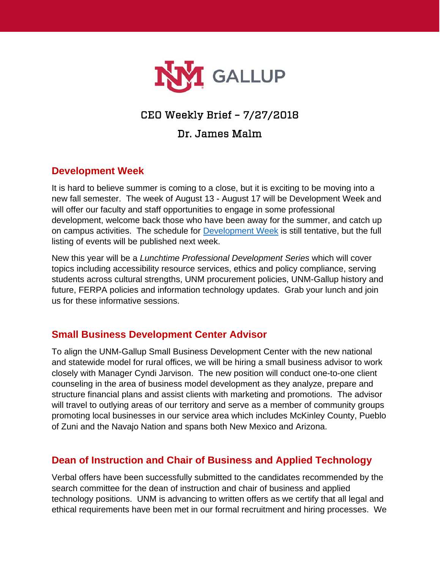

# CEO Weekly Brief – 7/27/2018

## Dr. James Malm

#### **Development Week**

It is hard to believe summer is coming to a close, but it is exciting to be moving into a new fall semester. The week of August 13 - August 17 will be Development Week and will offer our faculty and staff opportunities to engage in some professional development, welcome back those who have been away for the summer, and catch up on campus activities. The schedule for [Development Week](https://www.gallup.unm.edu/pdfs/DevelopmentWeekAgenda.pdf) is still tentative, but the full listing of events will be published next week.

New this year will be a *Lunchtime Professional Development Series* which will cover topics including accessibility resource services, ethics and policy compliance, serving students across cultural strengths, UNM procurement policies, UNM-Gallup history and future, FERPA policies and information technology updates. Grab your lunch and join us for these informative sessions.

### **Small Business Development Center Advisor**

To align the UNM-Gallup Small Business Development Center with the new national and statewide model for rural offices, we will be hiring a small business advisor to work closely with Manager Cyndi Jarvison. The new position will conduct one-to-one client counseling in the area of business model development as they analyze, prepare and structure financial plans and assist clients with marketing and promotions. The advisor will travel to outlying areas of our territory and serve as a member of community groups promoting local businesses in our service area which includes McKinley County, Pueblo of Zuni and the Navajo Nation and spans both New Mexico and Arizona.

### **Dean of Instruction and Chair of Business and Applied Technology**

Verbal offers have been successfully submitted to the candidates recommended by the search committee for the dean of instruction and chair of business and applied technology positions. UNM is advancing to written offers as we certify that all legal and ethical requirements have been met in our formal recruitment and hiring processes. We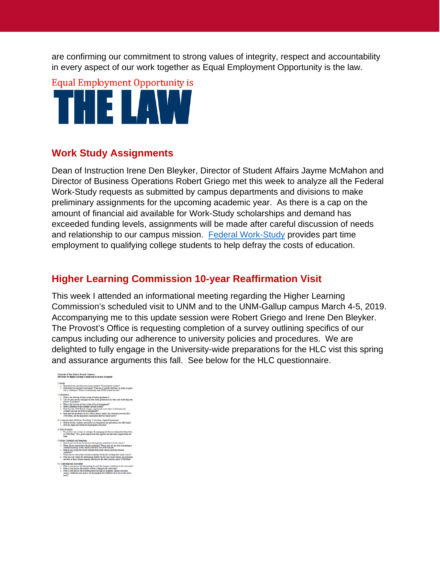are confirming our commitment to strong values of integrity, respect and accountability in every aspect of our work together as Equal Employment Opportunity is the law.

**Equal Employment Opportunity is** THE LAW

#### **Work Study Assignments**

Dean of Instruction Irene Den Bleyker, Director of Student Affairs Jayme McMahon and Director of Business Operations Robert Griego met this week to analyze all the Federal Work-Study requests as submitted by campus departments and divisions to make preliminary assignments for the upcoming academic year. As there is a cap on the amount of financial aid available for Work-Study scholarships and demand has exceeded funding levels, assignments will be made after careful discussion of needs and relationship to our campus mission. [Federal Work-Study](https://studentaid.ed.gov/sa/types/work-study) provides part time employment to qualifying college students to help defray the costs of education.

### **Higher Learning Commission 10-year Reaffirmation Visit**

This week I attended an informational meeting regarding the Higher Learning Commission's scheduled visit to UNM and to the UNM-Gallup campus March 4-5, 2019. Accompanying me to this update session were Robert Griego and Irene Den Bleyker. The Provost's Office is requesting completion of a survey outlining specifics of our campus including our adherence to university policies and procedures. We are delighted to fully engage in the University-wide preparations for the HLC vist this spring and assurance arguments this fall. See below for the HLC questionnaire.

- University of New Mexico, Branch Campuses describe your current students? Your potential students?<br>: describe your branch? What are its specific attributes, its niche, its goal<br>es? What is its relationship note UNN's countil mission? ,<br>a the structure of your systems of shared povernance?<br>su give specific examples of how shared governance has b e of this branch campus interest and community<br>safiate communities that the branch server?
- 
- sad Accecument<br>ova process for desenvising the need for changes or additions to the curriculum<br>ova process for actually matches a change to the curriculum?<br>ova process for ovalueing and successing AAR programs, general edu
-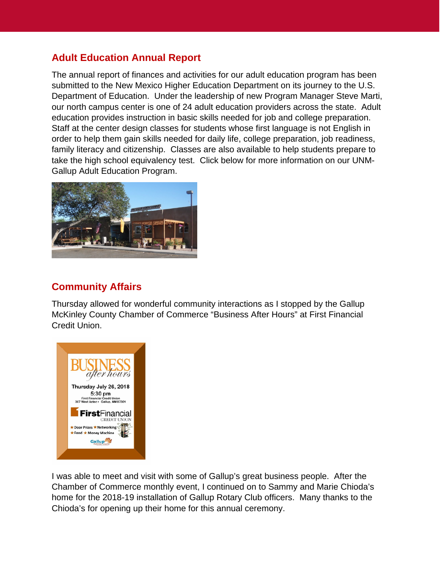## **Adult Education Annual Report**

The annual report of finances and activities for our adult education program has been submitted to the New Mexico Higher Education Department on its journey to the U.S. Department of Education. Under the leadership of new Program Manager Steve Marti, our north campus center is one of 24 adult education providers across the state. Adult education provides instruction in basic skills needed for job and college preparation. Staff at the center design classes for students whose first language is not English in order to help them gain skills needed for daily life, college preparation, job readiness, family literacy and citizenship. Classes are also available to help students prepare to take the high school equivalency test. Click below for more information on our UNM-Gallup Adult Education Program.



## **Community Affairs**

Thursday allowed for wonderful community interactions as I stopped by the Gallup McKinley County Chamber of Commerce "Business After Hours" at First Financial Credit Union.



I was able to meet and visit with some of Gallup's great business people. After the Chamber of Commerce monthly event, I continued on to Sammy and Marie Chioda's home for the 2018-19 installation of Gallup Rotary Club officers. Many thanks to the Chioda's for opening up their home for this annual ceremony.